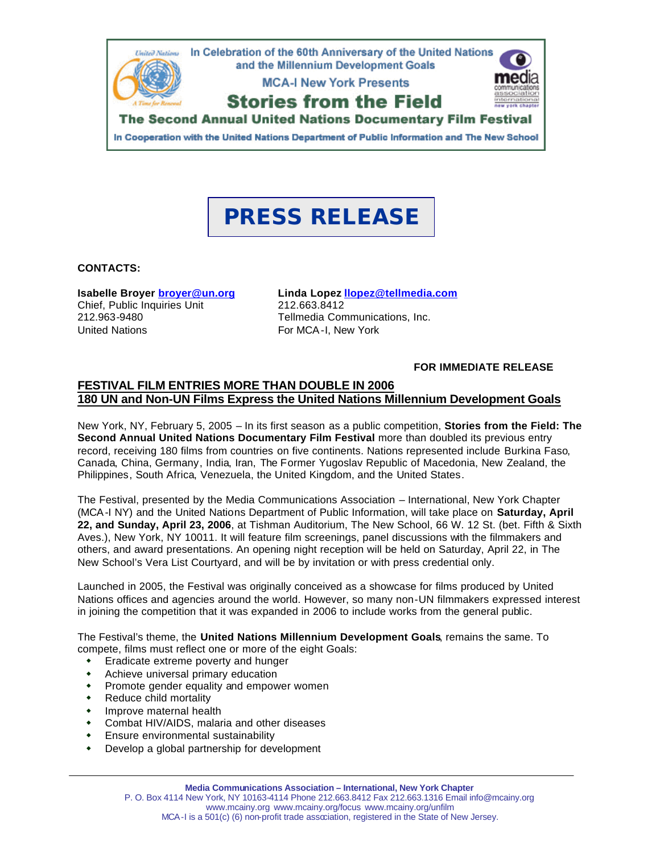

In Cooperation with the United Nations Department of Public Information and The New School

# **PRESS RELEASE**

#### **CONTACTS:**

**Isabelle Broyer broyer@un.org** Chief, Public Inquiries Unit 212.963-9480 United Nations

**Linda Lopez llopez@tellmedia.com** 212.663.8412 Tellmedia Communications, Inc. For MCA-I, New York

**FOR IMMEDIATE RELEASE**

#### **FESTIVAL FILM ENTRIES MORE THAN DOUBLE IN 2006 180 UN and Non-UN Films Express the United Nations Millennium Development Goals**

New York, NY, February 5, 2005 – In its first season as a public competition, **Stories from the Field: The Second Annual United Nations Documentary Film Festival** more than doubled its previous entry record, receiving 180 films from countries on five continents. Nations represented include Burkina Faso, Canada, China, Germany, India, Iran, The Former Yugoslav Republic of Macedonia, New Zealand, the Philippines, South Africa, Venezuela, the United Kingdom, and the United States.

The Festival, presented by the Media Communications Association – International, New York Chapter (MCA-I NY) and the United Nations Department of Public Information, will take place on **Saturday, April 22, and Sunday, April 23, 2006**, at Tishman Auditorium, The New School, 66 W. 12 St. (bet. Fifth & Sixth Aves.), New York, NY 10011. It will feature film screenings, panel discussions with the filmmakers and others, and award presentations. An opening night reception will be held on Saturday, April 22, in The New School's Vera List Courtyard, and will be by invitation or with press credential only.

Launched in 2005, the Festival was originally conceived as a showcase for films produced by United Nations offices and agencies around the world. However, so many non-UN filmmakers expressed interest in joining the competition that it was expanded in 2006 to include works from the general public.

The Festival's theme, the **United Nations Millennium Development Goals**, remains the same. To compete, films must reflect one or more of the eight Goals:

- $\bullet$  Eradicate extreme poverty and hunger
- $\bullet$  Achieve universal primary education
- Promote gender equality and empower women
- Reduce child mortality
- Improve maternal health
- Combat HIV/AIDS, malaria and other diseases
- **\*** Ensure environmental sustainability
- Develop a global partnership for development